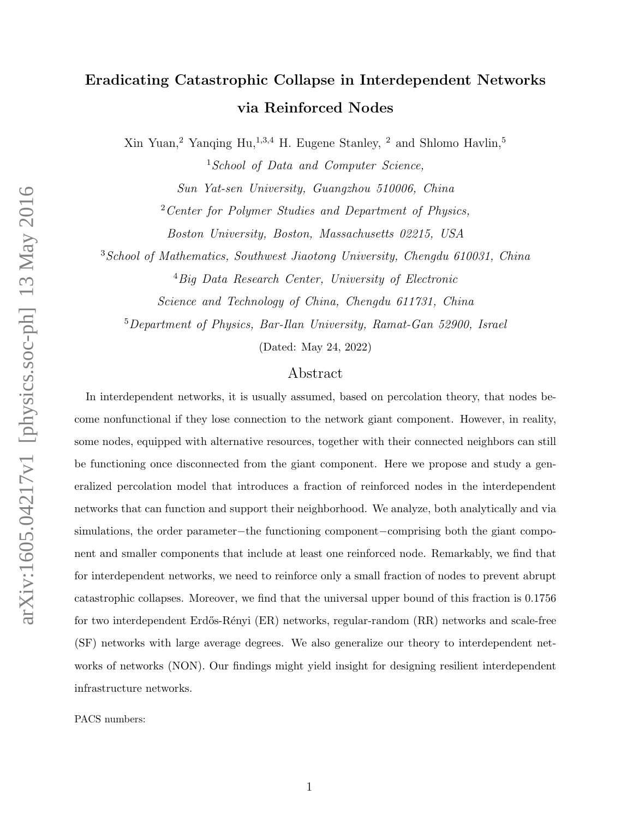# Eradicating Catastrophic Collapse in Interdependent Networks via Reinforced Nodes

 $X$ in Yuan,<sup>2</sup> Yanqing Hu,<sup>1,3,4</sup> H. Eugene Stanley, <sup>2</sup> and Shlomo Havlin,<sup>5</sup>

<sup>1</sup>School of Data and Computer Science, Sun Yat-sen University, Guangzhou 510006, China  $2$  Center for Polymer Studies and Department of Physics, Boston University, Boston, Massachusetts 02215, USA

<sup>3</sup> School of Mathematics, Southwest Jiaotong University, Chengdu 610031, China

<sup>4</sup>Big Data Research Center, University of Electronic

Science and Technology of China, Chengdu 611731, China

<sup>5</sup>Department of Physics, Bar-Ilan University, Ramat-Gan 52900, Israel

(Dated: May 24, 2022)

## Abstract

In interdependent networks, it is usually assumed, based on percolation theory, that nodes become nonfunctional if they lose connection to the network giant component. However, in reality, some nodes, equipped with alternative resources, together with their connected neighbors can still be functioning once disconnected from the giant component. Here we propose and study a generalized percolation model that introduces a fraction of reinforced nodes in the interdependent networks that can function and support their neighborhood. We analyze, both analytically and via simulations, the order parameter−the functioning component−comprising both the giant component and smaller components that include at least one reinforced node. Remarkably, we find that for interdependent networks, we need to reinforce only a small fraction of nodes to prevent abrupt catastrophic collapses. Moreover, we find that the universal upper bound of this fraction is 0.1756 for two interdependent Erdős-Rényi (ER) networks, regular-random (RR) networks and scale-free (SF) networks with large average degrees. We also generalize our theory to interdependent networks of networks (NON). Our findings might yield insight for designing resilient interdependent infrastructure networks.

PACS numbers: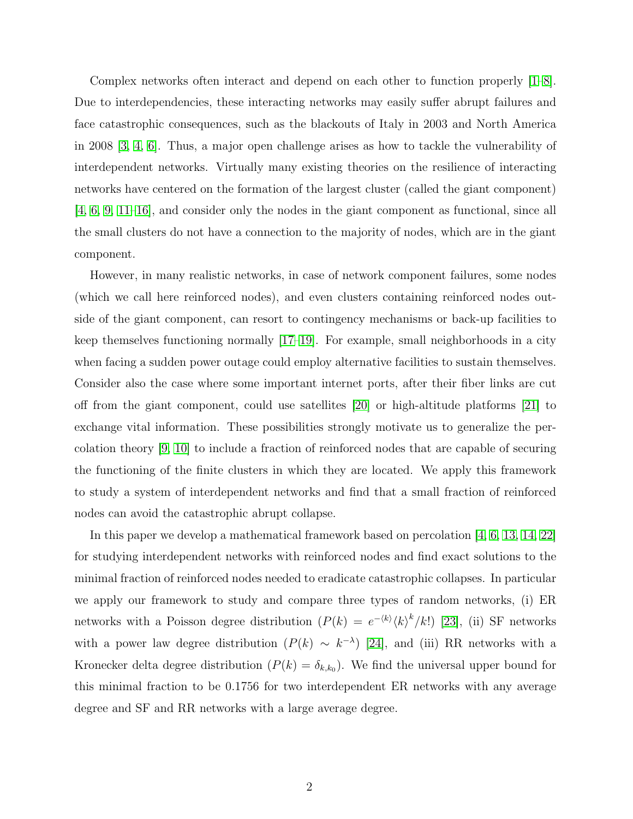Complex networks often interact and depend on each other to function properly [\[1–](#page-7-0)[8\]](#page-7-1). Due to interdependencies, these interacting networks may easily suffer abrupt failures and face catastrophic consequences, such as the blackouts of Italy in 2003 and North America in 2008 [\[3,](#page-7-2) [4,](#page-7-3) [6\]](#page-7-4). Thus, a major open challenge arises as how to tackle the vulnerability of interdependent networks. Virtually many existing theories on the resilience of interacting networks have centered on the formation of the largest cluster (called the giant component) [\[4,](#page-7-3) [6,](#page-7-4) [9,](#page-7-5) [11–](#page-7-6)[16\]](#page-8-0), and consider only the nodes in the giant component as functional, since all the small clusters do not have a connection to the majority of nodes, which are in the giant component.

However, in many realistic networks, in case of network component failures, some nodes (which we call here reinforced nodes), and even clusters containing reinforced nodes outside of the giant component, can resort to contingency mechanisms or back-up facilities to keep themselves functioning normally [\[17](#page-8-1)[–19\]](#page-8-2). For example, small neighborhoods in a city when facing a sudden power outage could employ alternative facilities to sustain themselves. Consider also the case where some important internet ports, after their fiber links are cut off from the giant component, could use satellites [\[20\]](#page-8-3) or high-altitude platforms [\[21\]](#page-8-4) to exchange vital information. These possibilities strongly motivate us to generalize the percolation theory [\[9,](#page-7-5) [10\]](#page-7-7) to include a fraction of reinforced nodes that are capable of securing the functioning of the finite clusters in which they are located. We apply this framework to study a system of interdependent networks and find that a small fraction of reinforced nodes can avoid the catastrophic abrupt collapse.

In this paper we develop a mathematical framework based on percolation [\[4,](#page-7-3) [6,](#page-7-4) [13,](#page-7-8) [14,](#page-7-9) [22\]](#page-8-5) for studying interdependent networks with reinforced nodes and find exact solutions to the minimal fraction of reinforced nodes needed to eradicate catastrophic collapses. In particular we apply our framework to study and compare three types of random networks, (i) ER networks with a Poisson degree distribution  $(P(k) = e^{-\langle k \rangle} \langle k \rangle^k / k!)$  [\[23\]](#page-8-6), (ii) SF networks with a power law degree distribution  $(P(k) \sim k^{-\lambda})$  [\[24\]](#page-8-7), and (iii) RR networks with a Kronecker delta degree distribution  $(P(k) = \delta_{k,k_0})$ . We find the universal upper bound for this minimal fraction to be 0.1756 for two interdependent ER networks with any average degree and SF and RR networks with a large average degree.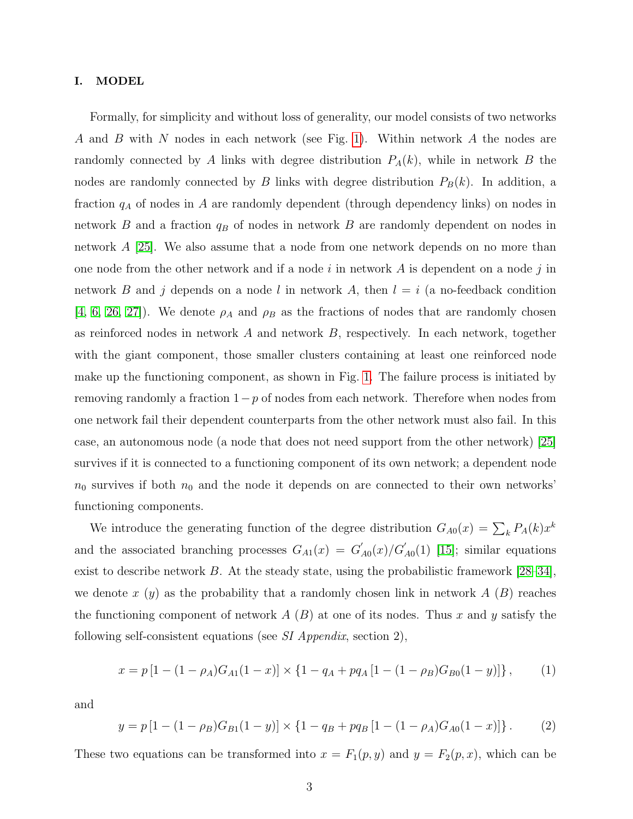#### I. MODEL

Formally, for simplicity and without loss of generality, our model consists of two networks A and B with N nodes in each network (see Fig. [1\)](#page-9-0). Within network A the nodes are randomly connected by A links with degree distribution  $P_A(k)$ , while in network B the nodes are randomly connected by B links with degree distribution  $P_B(k)$ . In addition, a fraction  $q_A$  of nodes in A are randomly dependent (through dependency links) on nodes in network  $B$  and a fraction  $q_B$  of nodes in network  $B$  are randomly dependent on nodes in network A [\[25\]](#page-8-8). We also assume that a node from one network depends on no more than one node from the other network and if a node i in network  $A$  is dependent on a node j in network B and j depends on a node l in network A, then  $l = i$  (a no-feedback condition [\[4,](#page-7-3) [6,](#page-7-4) [26,](#page-8-9) [27\]](#page-8-10)). We denote  $\rho_A$  and  $\rho_B$  as the fractions of nodes that are randomly chosen as reinforced nodes in network  $A$  and network  $B$ , respectively. In each network, together with the giant component, those smaller clusters containing at least one reinforced node make up the functioning component, as shown in Fig. [1.](#page-9-0) The failure process is initiated by removing randomly a fraction  $1-p$  of nodes from each network. Therefore when nodes from one network fail their dependent counterparts from the other network must also fail. In this case, an autonomous node (a node that does not need support from the other network) [\[25\]](#page-8-8) survives if it is connected to a functioning component of its own network; a dependent node  $n_0$  survives if both  $n_0$  and the node it depends on are connected to their own networks' functioning components.

We introduce the generating function of the degree distribution  $G_{A0}(x) = \sum_{k} P_{A}(k)x^{k}$ and the associated branching processes  $G_{A1}(x) = G'_{A}$  $\int_{A0}^{'}(x)/G'_{A0}(1)$  [\[15\]](#page-8-11); similar equations exist to describe network  $B$ . At the steady state, using the probabilistic framework [\[28–](#page-8-12)[34\]](#page-8-13), we denote x  $(y)$  as the probability that a randomly chosen link in network A  $(B)$  reaches the functioning component of network  $A(B)$  at one of its nodes. Thus x and y satisfy the following self-consistent equations (see SI Appendix, section 2),

<span id="page-2-0"></span>
$$
x = p[1 - (1 - \rho_A)G_{A1}(1 - x)] \times \{1 - q_A + pq_A[1 - (1 - \rho_B)G_{B0}(1 - y)]\},
$$
 (1)

and

<span id="page-2-1"></span>
$$
y = p[1 - (1 - \rho_B)G_{B1}(1 - y)] \times \{1 - q_B + pq_B[1 - (1 - \rho_A)G_{A0}(1 - x)]\}.
$$
 (2)

These two equations can be transformed into  $x = F_1(p, y)$  and  $y = F_2(p, x)$ , which can be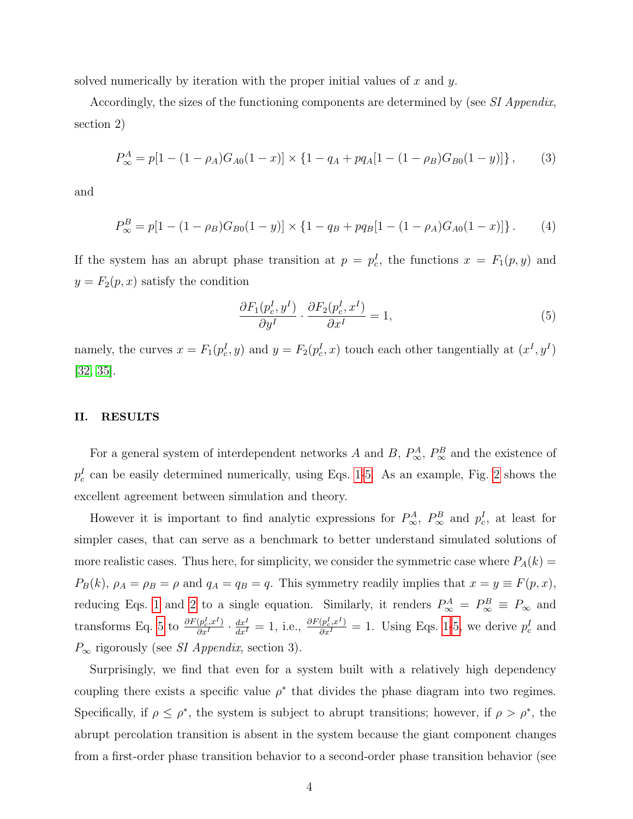solved numerically by iteration with the proper initial values of x and  $y$ .

Accordingly, the sizes of the functioning components are determined by (see SI Appendix, section 2)

<span id="page-3-1"></span>
$$
P_{\infty}^{A} = p[1 - (1 - \rho_{A})G_{A0}(1 - x)] \times \{1 - q_{A} + pq_{A}[1 - (1 - \rho_{B})G_{B0}(1 - y)]\},
$$
 (3)

and

<span id="page-3-2"></span>
$$
P_{\infty}^{B} = p[1 - (1 - \rho_B)G_{B0}(1 - y)] \times \{1 - q_B + pq_B[1 - (1 - \rho_A)G_{A0}(1 - x)]\}.
$$
 (4)

If the system has an abrupt phase transition at  $p = p_c^I$ , the functions  $x = F_1(p, y)$  and  $y = F_2(p, x)$  satisfy the condition

<span id="page-3-0"></span>
$$
\frac{\partial F_1(p_c^I, y^I)}{\partial y^I} \cdot \frac{\partial F_2(p_c^I, x^I)}{\partial x^I} = 1,\tag{5}
$$

namely, the curves  $x = F_1(p_c^I, y)$  and  $y = F_2(p_c^I, x)$  touch each other tangentially at  $(x^I, y^I)$ [\[32,](#page-8-14) [35\]](#page-8-15).

## II. RESULTS

For a general system of interdependent networks A and B,  $P_{\infty}^{A}$ ,  $P_{\infty}^{B}$  and the existence of  $p_c^I$  can be easily determined numerically, using Eqs. [1](#page-2-0)[-5.](#page-3-0) As an example, Fig. [2](#page-9-1) shows the excellent agreement between simulation and theory.

However it is important to find analytic expressions for  $P_{\infty}^{A}$ ,  $P_{\infty}^{B}$  and  $p_c^I$ , at least for simpler cases, that can serve as a benchmark to better understand simulated solutions of more realistic cases. Thus here, for simplicity, we consider the symmetric case where  $P_A(k)$  $P_B(k)$ ,  $\rho_A = \rho_B = \rho$  and  $q_A = q_B = q$ . This symmetry readily implies that  $x = y \equiv F(p, x)$ , reducing Eqs. [1](#page-2-0) and [2](#page-2-1) to a single equation. Similarly, it renders  $P^A_\infty = P^B_\infty \equiv P_\infty$  and transforms Eq. [5](#page-3-0) to  $\frac{\partial F(p_c^I, x^I)}{\partial x^I}$  $\frac{(p_c^L, x^I)}{\partial x^I} \cdot \frac{dx^I}{dx^I} = 1$  $\frac{(p_c^L, x^I)}{\partial x^I} \cdot \frac{dx^I}{dx^I} = 1$ , i.e.,  $\frac{\partial F(p_c^I, x^I)}{\partial x^I} = 1$ . Using Eqs. 1[-5,](#page-3-0) we derive  $p_c^I$  and  $P_{\infty}$  rigorously (see *SI Appendix*, section 3).

Surprisingly, we find that even for a system built with a relatively high dependency coupling there exists a specific value  $\rho^*$  that divides the phase diagram into two regimes. Specifically, if  $\rho \leq \rho^*$ , the system is subject to abrupt transitions; however, if  $\rho > \rho^*$ , the abrupt percolation transition is absent in the system because the giant component changes from a first-order phase transition behavior to a second-order phase transition behavior (see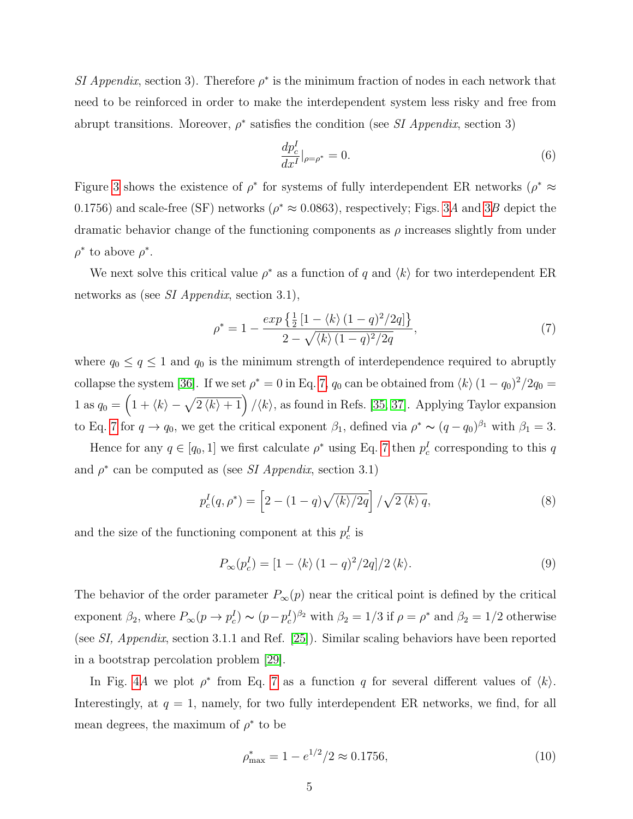SI Appendix, section 3). Therefore  $\rho^*$  is the minimum fraction of nodes in each network that need to be reinforced in order to make the interdependent system less risky and free from abrupt transitions. Moreover,  $\rho^*$  satisfies the condition (see SI Appendix, section 3)

$$
\frac{dp_c^I}{dx^I}|_{\rho=\rho^*} = 0.
$$
\n(6)

Figure [3](#page-10-0) shows the existence of  $\rho^*$  for systems of fully interdependent ER networks ( $\rho^* \approx$ 0.1756) and scale-free (SF) networks ( $\rho^* \approx 0.0863$ ), respectively; Figs. [3](#page-10-0)A and 3B depict the dramatic behavior change of the functioning components as  $\rho$  increases slightly from under  $\rho^*$  to above  $\rho^*$ .

We next solve this critical value  $\rho^*$  as a function of q and  $\langle k \rangle$  for two interdependent ER networks as (see SI Appendix, section 3.1),

<span id="page-4-0"></span>
$$
\rho^* = 1 - \frac{\exp\left\{\frac{1}{2}\left[1 - \langle k \rangle \left(1 - q\right)^2 / 2q\right]\right\}}{2 - \sqrt{\langle k \rangle \left(1 - q\right)^2 / 2q}},\tag{7}
$$

where  $q_0 \leq q \leq 1$  and  $q_0$  is the minimum strength of interdependence required to abruptly collapse the system [\[36\]](#page-8-16). If we set  $\rho^* = 0$  in Eq. [7,](#page-4-0)  $q_0$  can be obtained from  $\langle k \rangle (1 - q_0)^2 / 2q_0 =$ 1 as  $q_0 = \left(1 + \langle k \rangle - \sqrt{2 \langle k \rangle + 1}\right) / \langle k \rangle$ , as found in Refs. [\[35,](#page-8-15) [37\]](#page-8-17). Applying Taylor expansion to Eq. [7](#page-4-0) for  $q \to q_0$ , we get the critical exponent  $\beta_1$ , defined via  $\rho^* \sim (q - q_0)^{\beta_1}$  with  $\beta_1 = 3$ .

Hence for any  $q \in [q_0, 1]$  we first calculate  $\rho^*$  using Eq. [7](#page-4-0) then  $p_c^I$  corresponding to this q and  $\rho^*$  can be computed as (see *SI Appendix*, section 3.1)

$$
p_c^I(q, \rho^*) = \left[2 - (1 - q)\sqrt{\langle k \rangle/2q}\right] / \sqrt{2 \langle k \rangle q},\tag{8}
$$

and the size of the functioning component at this  $p_c^I$  is

$$
P_{\infty}(p_c^I) = \left[1 - \langle k \rangle \left(1 - q\right)^2 / 2q\right]/2 \langle k \rangle. \tag{9}
$$

The behavior of the order parameter  $P_{\infty}(p)$  near the critical point is defined by the critical exponent  $\beta_2$ , where  $P_{\infty}(p \to p_c^I) \sim (p - p_c^I)^{\beta_2}$  with  $\beta_2 = 1/3$  if  $\rho = \rho^*$  and  $\beta_2 = 1/2$  otherwise (see SI, Appendix, section 3.1.1 and Ref. [\[25\]](#page-8-8)). Similar scaling behaviors have been reported in a bootstrap percolation problem [\[29\]](#page-8-18).

In Fig. [4](#page-10-1)A we plot  $\rho^*$  from Eq. [7](#page-4-0) as a function q for several different values of  $\langle k \rangle$ . Interestingly, at  $q = 1$ , namely, for two fully interdependent ER networks, we find, for all mean degrees, the maximum of  $\rho^*$  to be

$$
\rho_{\text{max}}^* = 1 - e^{1/2}/2 \approx 0.1756,\tag{10}
$$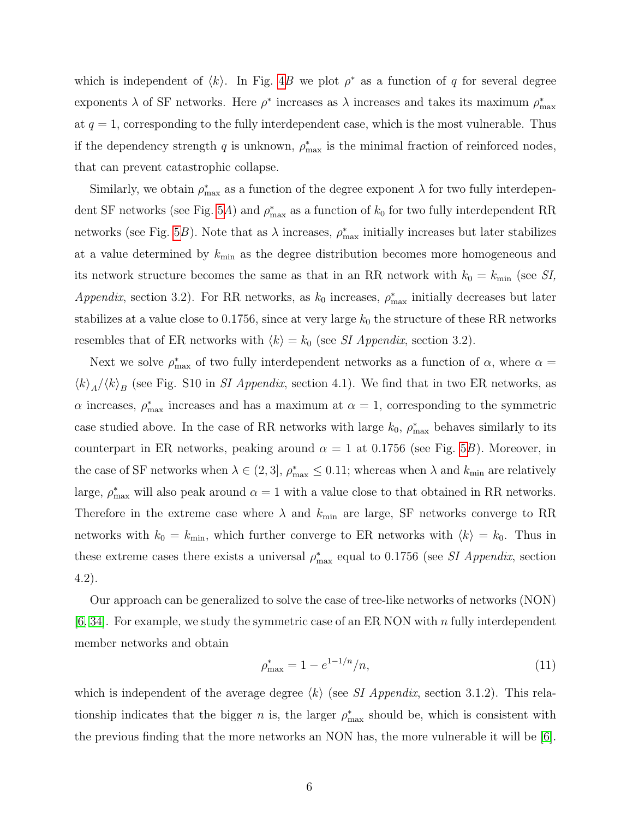which is independent of  $\langle k \rangle$ . In Fig. [4](#page-10-1)B we plot  $\rho^*$  as a function of q for several degree exponents  $\lambda$  of SF networks. Here  $\rho^*$  increases as  $\lambda$  increases and takes its maximum  $\rho_{\max}^*$ at  $q = 1$ , corresponding to the fully interdependent case, which is the most vulnerable. Thus if the dependency strength q is unknown,  $\rho_{\text{max}}^*$  is the minimal fraction of reinforced nodes, that can prevent catastrophic collapse.

Similarly, we obtain  $\rho_{\text{max}}^*$  as a function of the degree exponent  $\lambda$  for two fully interdepen-dent SF networks (see Fig. [5](#page-11-0)A) and  $\rho_{\text{max}}^*$  as a function of  $k_0$  for two fully interdependent RR networks (see Fig. [5](#page-11-0)B). Note that as  $\lambda$  increases,  $\rho_{\text{max}}^*$  initially increases but later stabilizes at a value determined by  $k_{\text{min}}$  as the degree distribution becomes more homogeneous and its network structure becomes the same as that in an RR network with  $k_0 = k_{\text{min}}$  (see SI, Appendix, section 3.2). For RR networks, as  $k_0$  increases,  $\rho_{\text{max}}^*$  initially decreases but later stabilizes at a value close to 0.1756, since at very large  $k_0$  the structure of these RR networks resembles that of ER networks with  $\langle k \rangle = k_0$  (see SI Appendix, section 3.2).

Next we solve  $\rho_{\text{max}}^*$  of two fully interdependent networks as a function of  $\alpha$ , where  $\alpha =$  $\langle k \rangle_A / \langle k \rangle_B$  (see Fig. S10 in *SI Appendix*, section 4.1). We find that in two ER networks, as  $\alpha$  increases,  $\rho_{\text{max}}^*$  increases and has a maximum at  $\alpha = 1$ , corresponding to the symmetric case studied above. In the case of RR networks with large  $k_0$ ,  $\rho_{\text{max}}^*$  behaves similarly to its counterpart in ER networks, peaking around  $\alpha = 1$  at 0.1756 (see Fig. [5](#page-11-0)B). Moreover, in the case of SF networks when  $\lambda \in (2,3]$ ,  $\rho_{\max}^* \leq 0.11$ ; whereas when  $\lambda$  and  $k_{\min}$  are relatively large,  $\rho_{\text{max}}^*$  will also peak around  $\alpha = 1$  with a value close to that obtained in RR networks. Therefore in the extreme case where  $\lambda$  and  $k_{\text{min}}$  are large, SF networks converge to RR networks with  $k_0 = k_{\text{min}}$ , which further converge to ER networks with  $\langle k \rangle = k_0$ . Thus in these extreme cases there exists a universal  $\rho_{\text{max}}^*$  equal to 0.1756 (see *SI Appendix*, section 4.2).

Our approach can be generalized to solve the case of tree-like networks of networks (NON)  $[6, 34]$  $[6, 34]$ . For example, we study the symmetric case of an ER NON with n fully interdependent member networks and obtain

$$
\rho_{\text{max}}^* = 1 - e^{1 - 1/n},\tag{11}
$$

which is independent of the average degree  $\langle k \rangle$  (see SI Appendix, section 3.1.2). This relationship indicates that the bigger n is, the larger  $\rho_{\text{max}}^*$  should be, which is consistent with the previous finding that the more networks an NON has, the more vulnerable it will be  $|6|$ .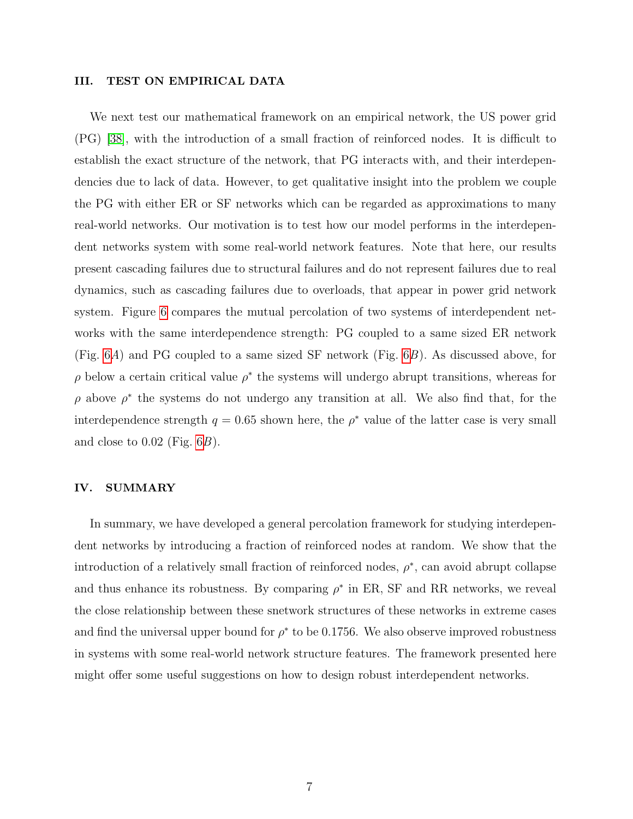## III. TEST ON EMPIRICAL DATA

We next test our mathematical framework on an empirical network, the US power grid (PG) [\[38\]](#page-8-19), with the introduction of a small fraction of reinforced nodes. It is difficult to establish the exact structure of the network, that PG interacts with, and their interdependencies due to lack of data. However, to get qualitative insight into the problem we couple the PG with either ER or SF networks which can be regarded as approximations to many real-world networks. Our motivation is to test how our model performs in the interdependent networks system with some real-world network features. Note that here, our results present cascading failures due to structural failures and do not represent failures due to real dynamics, such as cascading failures due to overloads, that appear in power grid network system. Figure [6](#page-11-1) compares the mutual percolation of two systems of interdependent networks with the same interdependence strength: PG coupled to a same sized ER network (Fig. [6](#page-11-1)A) and PG coupled to a same sized SF network (Fig. [6](#page-11-1)B). As discussed above, for  $\rho$  below a certain critical value  $\rho^*$  the systems will undergo abrupt transitions, whereas for  $\rho$  above  $\rho^*$  the systems do not undergo any transition at all. We also find that, for the interdependence strength  $q = 0.65$  shown here, the  $\rho^*$  value of the latter case is very small and close to  $0.02$  (Fig.  $6B$ ).

#### IV. SUMMARY

In summary, we have developed a general percolation framework for studying interdependent networks by introducing a fraction of reinforced nodes at random. We show that the introduction of a relatively small fraction of reinforced nodes,  $\rho^*$ , can avoid abrupt collapse and thus enhance its robustness. By comparing  $\rho^*$  in ER, SF and RR networks, we reveal the close relationship between these snetwork structures of these networks in extreme cases and find the universal upper bound for  $\rho^*$  to be 0.1756. We also observe improved robustness in systems with some real-world network structure features. The framework presented here might offer some useful suggestions on how to design robust interdependent networks.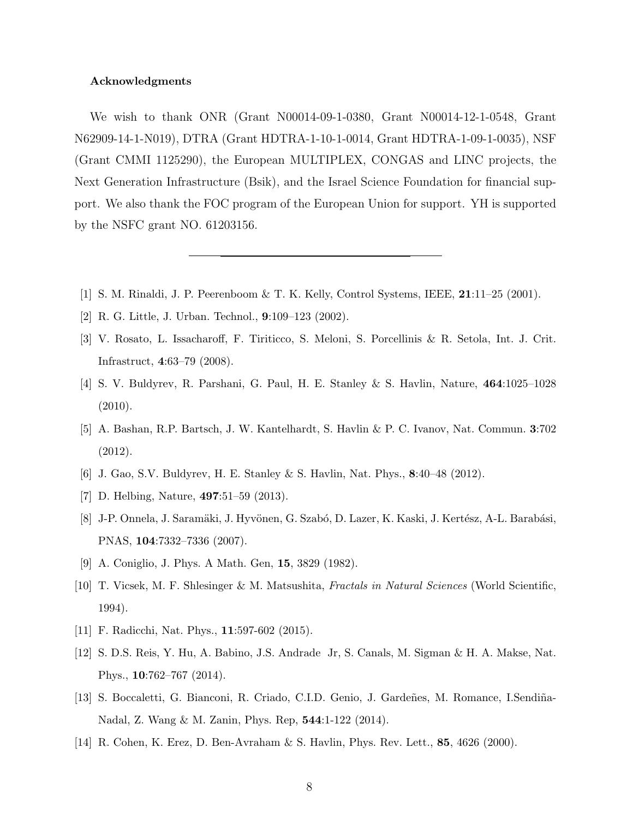### Acknowledgments

We wish to thank ONR (Grant N00014-09-1-0380, Grant N00014-12-1-0548, Grant N62909-14-1-N019), DTRA (Grant HDTRA-1-10-1-0014, Grant HDTRA-1-09-1-0035), NSF (Grant CMMI 1125290), the European MULTIPLEX, CONGAS and LINC projects, the Next Generation Infrastructure (Bsik), and the Israel Science Foundation for financial support. We also thank the FOC program of the European Union for support. YH is supported by the NSFC grant NO. 61203156.

- <span id="page-7-0"></span>[1] S. M. Rinaldi, J. P. Peerenboom & T. K. Kelly, Control Systems, IEEE, 21:11–25 (2001).
- <span id="page-7-2"></span>[2] R. G. Little, J. Urban. Technol., 9:109–123 (2002).
- [3] V. Rosato, L. Issacharoff, F. Tiriticco, S. Meloni, S. Porcellinis & R. Setola, Int. J. Crit. Infrastruct, 4:63–79 (2008).
- <span id="page-7-3"></span>[4] S. V. Buldyrev, R. Parshani, G. Paul, H. E. Stanley & S. Havlin, Nature, 464:1025–1028 (2010).
- [5] A. Bashan, R.P. Bartsch, J. W. Kantelhardt, S. Havlin & P. C. Ivanov, Nat. Commun. 3:702 (2012).
- <span id="page-7-4"></span>[6] J. Gao, S.V. Buldyrev, H. E. Stanley & S. Havlin, Nat. Phys., 8:40–48 (2012).
- <span id="page-7-1"></span>[7] D. Helbing, Nature, 497:51–59 (2013).
- [8] J-P. Onnela, J. Saramäki, J. Hyvönen, G. Szabó, D. Lazer, K. Kaski, J. Kertész, A-L. Barabási, PNAS, 104:7332–7336 (2007).
- <span id="page-7-7"></span><span id="page-7-5"></span>[9] A. Coniglio, J. Phys. A Math. Gen, 15, 3829 (1982).
- [10] T. Vicsek, M. F. Shlesinger & M. Matsushita, Fractals in Natural Sciences (World Scientific, 1994).
- <span id="page-7-6"></span>[11] F. Radicchi, Nat. Phys., **11**:597-602 (2015).
- [12] S. D.S. Reis, Y. Hu, A. Babino, J.S. Andrade Jr, S. Canals, M. Sigman & H. A. Makse, Nat. Phys., 10:762–767 (2014).
- <span id="page-7-8"></span>[13] S. Boccaletti, G. Bianconi, R. Criado, C.I.D. Genio, J. Gardeñes, M. Romance, I.Sendiña-Nadal, Z. Wang & M. Zanin, Phys. Rep, 544:1-122 (2014).
- <span id="page-7-9"></span>[14] R. Cohen, K. Erez, D. Ben-Avraham & S. Havlin, Phys. Rev. Lett., 85, 4626 (2000).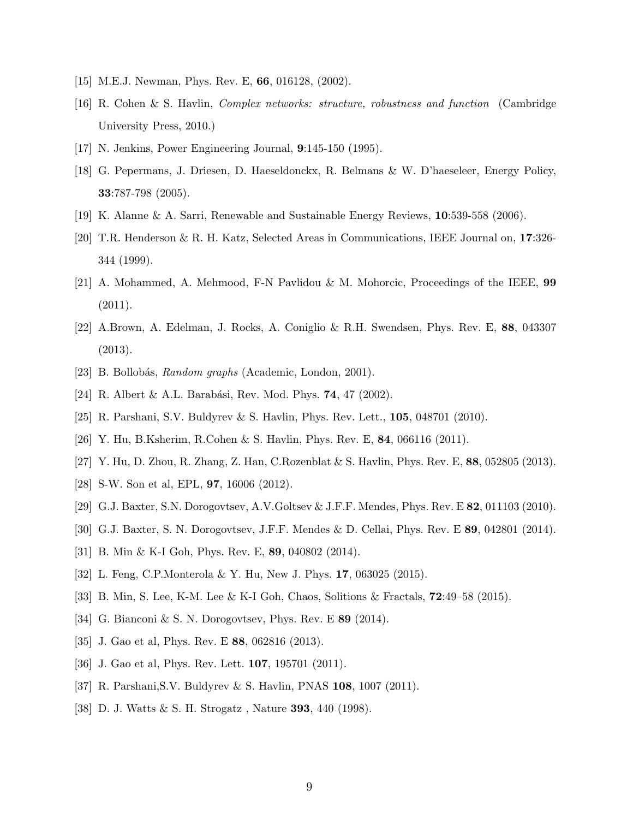- <span id="page-8-11"></span><span id="page-8-0"></span>[15] M.E.J. Newman, Phys. Rev. E, 66, 016128, (2002).
- [16] R. Cohen & S. Havlin, Complex networks: structure, robustness and function (Cambridge University Press, 2010.)
- <span id="page-8-1"></span>[17] N. Jenkins, Power Engineering Journal, 9:145-150 (1995).
- [18] G. Pepermans, J. Driesen, D. Haeseldonckx, R. Belmans & W. D'haeseleer, Energy Policy, 33:787-798 (2005).
- <span id="page-8-3"></span><span id="page-8-2"></span>[19] K. Alanne & A. Sarri, Renewable and Sustainable Energy Reviews, 10:539-558 (2006).
- [20] T.R. Henderson & R. H. Katz, Selected Areas in Communications, IEEE Journal on, 17:326- 344 (1999).
- <span id="page-8-4"></span>[21] A. Mohammed, A. Mehmood, F-N Pavlidou & M. Mohorcic, Proceedings of the IEEE, 99  $(2011).$
- <span id="page-8-5"></span>[22] A.Brown, A. Edelman, J. Rocks, A. Coniglio & R.H. Swendsen, Phys. Rev. E, 88, 043307 (2013).
- <span id="page-8-7"></span><span id="page-8-6"></span>[23] B. Bollobás, *Random graphs* (Academic, London, 2001).
- <span id="page-8-8"></span>[24] R. Albert & A.L. Barabási, Rev. Mod. Phys. **74**, 47 (2002).
- <span id="page-8-9"></span>[25] R. Parshani, S.V. Buldyrev & S. Havlin, Phys. Rev. Lett., 105, 048701 (2010).
- <span id="page-8-10"></span>[26] Y. Hu, B.Ksherim, R.Cohen & S. Havlin, Phys. Rev. E, 84, 066116 (2011).
- <span id="page-8-12"></span>[27] Y. Hu, D. Zhou, R. Zhang, Z. Han, C.Rozenblat & S. Havlin, Phys. Rev. E, 88, 052805 (2013).
- <span id="page-8-18"></span>[28] S-W. Son et al, EPL, 97, 16006 (2012).
- [29] G.J. Baxter, S.N. Dorogovtsev, A.V.Goltsev & J.F.F. Mendes, Phys. Rev. E 82, 011103 (2010).
- [30] G.J. Baxter, S. N. Dorogovtsev, J.F.F. Mendes & D. Cellai, Phys. Rev. E 89, 042801 (2014).
- <span id="page-8-14"></span>[31] B. Min & K-I Goh, Phys. Rev. E, 89, 040802 (2014).
- [32] L. Feng, C.P.Monterola & Y. Hu, New J. Phys. 17, 063025 (2015).
- <span id="page-8-13"></span>[33] B. Min, S. Lee, K-M. Lee & K-I Goh, Chaos, Solitions & Fractals, 72:49–58 (2015).
- <span id="page-8-15"></span>[34] G. Bianconi & S. N. Dorogovtsev, Phys. Rev. E **89** (2014).
- <span id="page-8-16"></span>[35] J. Gao et al, Phys. Rev. E 88, 062816 (2013).
- <span id="page-8-17"></span>[36] J. Gao et al, Phys. Rev. Lett. **107**, 195701 (2011).
- <span id="page-8-19"></span>[37] R. Parshani,S.V. Buldyrev & S. Havlin, PNAS 108, 1007 (2011).
- [38] D. J. Watts & S. H. Strogatz , Nature 393, 440 (1998).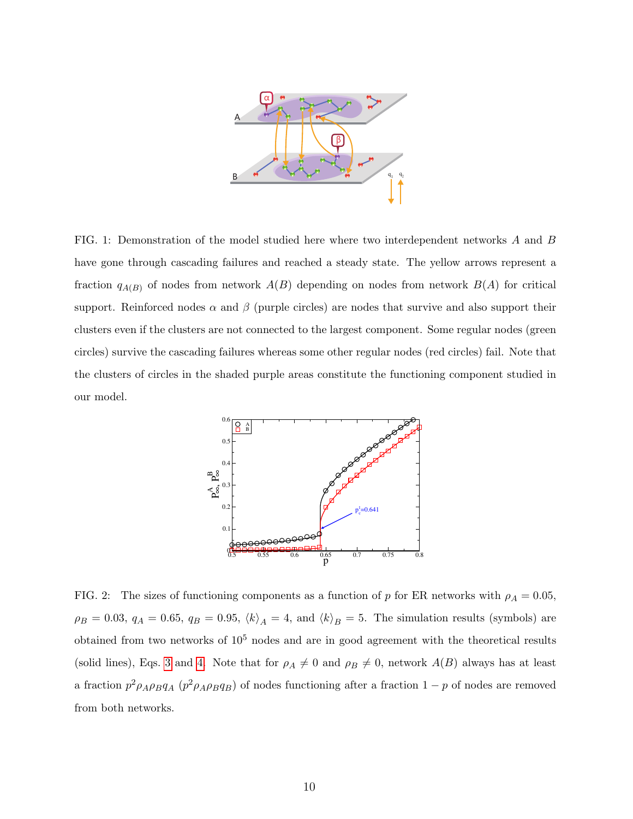

<span id="page-9-0"></span>FIG. 1: Demonstration of the model studied here where two interdependent networks A and B have gone through cascading failures and reached a steady state. The yellow arrows represent a fraction  $q_{A(B)}$  of nodes from network  $A(B)$  depending on nodes from network  $B(A)$  for critical support. Reinforced nodes  $\alpha$  and  $\beta$  (purple circles) are nodes that survive and also support their clusters even if the clusters are not connected to the largest component. Some regular nodes (green circles) survive the cascading failures whereas some other regular nodes (red circles) fail. Note that the clusters of circles in the shaded purple areas constitute the functioning component studied in our model.



<span id="page-9-1"></span>FIG. 2: The sizes of functioning components as a function of p for ER networks with  $\rho_A = 0.05$ ,  $\rho_B = 0.03$ ,  $q_A = 0.65$ ,  $q_B = 0.95$ ,  $\langle k \rangle_A = 4$ , and  $\langle k \rangle_B = 5$ . The simulation results (symbols) are obtained from two networks of  $10^5$  nodes and are in good agreement with the theoretical results (solid lines), Eqs. [3](#page-3-1) and [4.](#page-3-2) Note that for  $\rho_A \neq 0$  and  $\rho_B \neq 0$ , network  $A(B)$  always has at least a fraction  $p^2 \rho_A \rho_B q_A$  ( $p^2 \rho_A \rho_B q_B$ ) of nodes functioning after a fraction 1 – p of nodes are removed from both networks.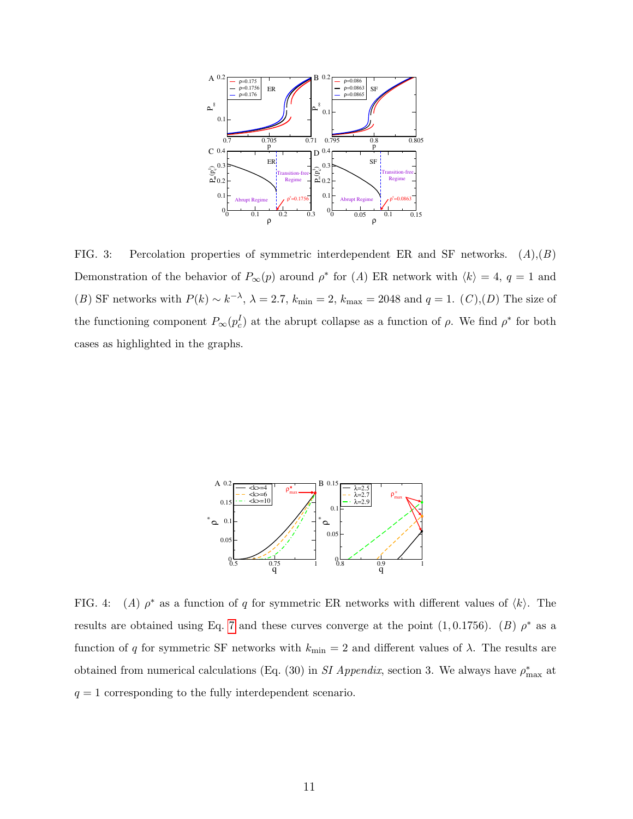

<span id="page-10-0"></span>FIG. 3: Percolation properties of symmetric interdependent ER and SF networks.  $(A),(B)$ Demonstration of the behavior of  $P_{\infty}(p)$  around  $\rho^*$  for (A) ER network with  $\langle k \rangle = 4$ ,  $q = 1$  and (B) SF networks with  $P(k) \sim k^{-\lambda}$ ,  $\lambda = 2.7$ ,  $k_{\min} = 2$ ,  $k_{\max} = 2048$  and  $q = 1$ . (C),(D) The size of the functioning component  $P_{\infty}(p_c^I)$  at the abrupt collapse as a function of  $\rho$ . We find  $\rho^*$  for both cases as highlighted in the graphs.



<span id="page-10-1"></span>FIG.  $4$ : (A)  $\rho^*$  as a function of q for symmetric ER networks with different values of  $\langle k \rangle$ . The results are obtained using Eq. [7](#page-4-0) and these curves converge at the point  $(1, 0.1756)$ . (B)  $\rho^*$  as a function of q for symmetric SF networks with  $k_{\text{min}} = 2$  and different values of  $\lambda$ . The results are obtained from numerical calculations (Eq. (30) in SI Appendix, section 3. We always have  $\rho_{\text{max}}^*$  at  $q = 1$  corresponding to the fully interdependent scenario.